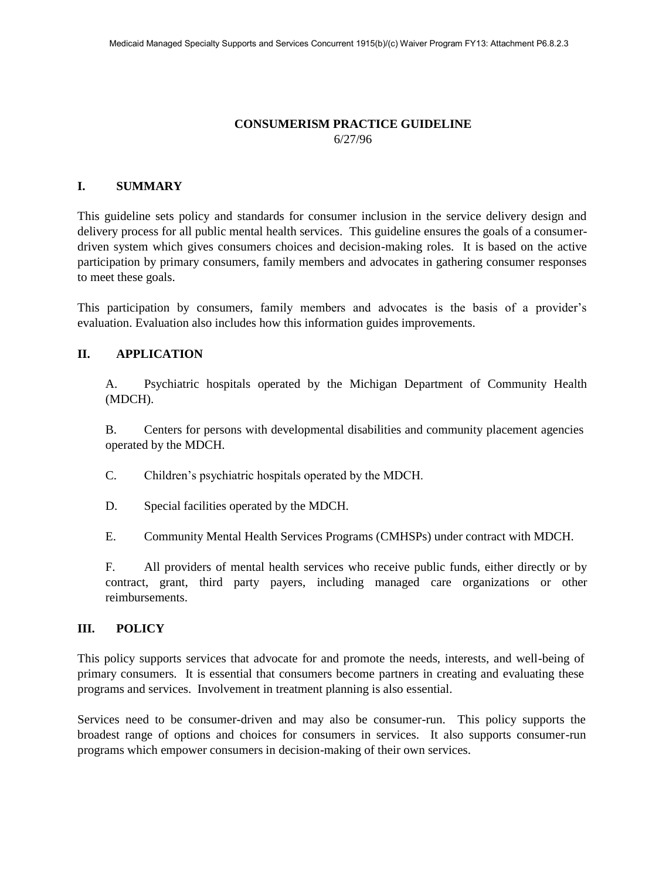#### **CONSUMERISM PRACTICE GUIDELINE**  6/27/96

### **I. SUMMARY**

This guideline sets policy and standards for consumer inclusion in the service delivery design and delivery process for all public mental health services. This guideline ensures the goals of a consumerdriven system which gives consumers choices and decision-making roles. It is based on the active participation by primary consumers, family members and advocates in gathering consumer responses to meet these goals.

This participation by consumers, family members and advocates is the basis of a provider's evaluation. Evaluation also includes how this information guides improvements.

#### **II. APPLICATION**

A. Psychiatric hospitals operated by the Michigan Department of Community Health (MDCH).

B. Centers for persons with developmental disabilities and community placement agencies operated by the MDCH.

- C. Children's psychiatric hospitals operated by the MDCH.
- D. Special facilities operated by the MDCH.

E. Community Mental Health Services Programs (CMHSPs) under contract with MDCH.

F. All providers of mental health services who receive public funds, either directly or by contract, grant, third party payers, including managed care organizations or other reimbursements.

#### **III. POLICY**

This policy supports services that advocate for and promote the needs, interests, and well-being of primary consumers. It is essential that consumers become partners in creating and evaluating these programs and services. Involvement in treatment planning is also essential.

Services need to be consumer-driven and may also be consumer-run. This policy supports the broadest range of options and choices for consumers in services. It also supports consumer-run programs which empower consumers in decision-making of their own services.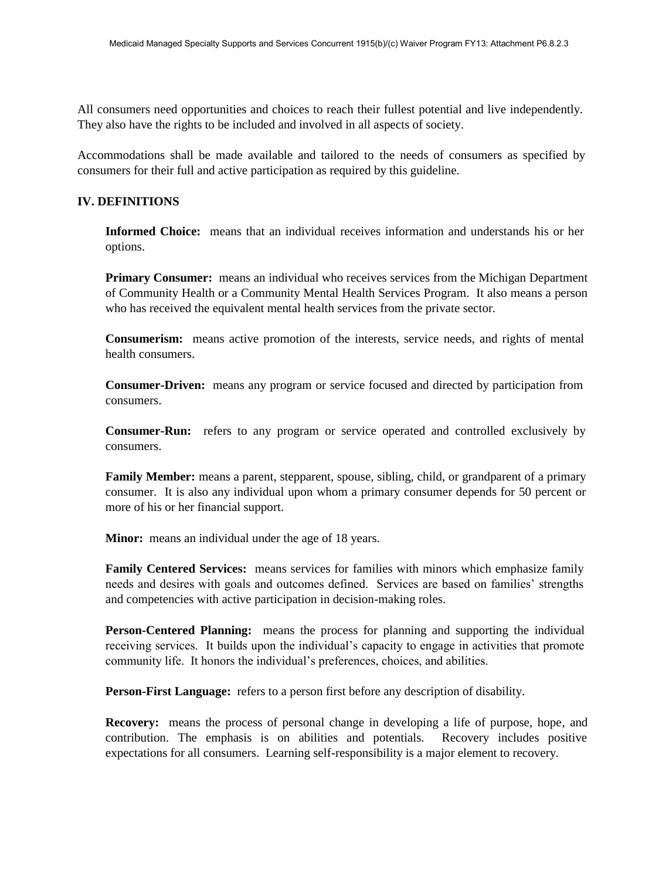All consumers need opportunities and choices to reach their fullest potential and live independently. They also have the rights to be included and involved in all aspects of society.

Accommodations shall be made available and tailored to the needs of consumers as specified by consumers for their full and active participation as required by this guideline.

## **IV. DEFINITIONS**

**Informed Choice:** means that an individual receives information and understands his or her options.

**Primary Consumer:** means an individual who receives services from the Michigan Department of Community Health or a Community Mental Health Services Program. It also means a person who has received the equivalent mental health services from the private sector.

**Consumerism:** means active promotion of the interests, service needs, and rights of mental health consumers.

**Consumer-Driven:** means any program or service focused and directed by participation from consumers.

**Consumer-Run:** refers to any program or service operated and controlled exclusively by consumers.

**Family Member:** means a parent, stepparent, spouse, sibling, child, or grandparent of a primary consumer. It is also any individual upon whom a primary consumer depends for 50 percent or more of his or her financial support.

**Minor:** means an individual under the age of 18 years.

**Family Centered Services:** means services for families with minors which emphasize family needs and desires with goals and outcomes defined. Services are based on families' strengths and competencies with active participation in decision-making roles.

**Person-Centered Planning:** means the process for planning and supporting the individual receiving services. It builds upon the individual's capacity to engage in activities that promote community life. It honors the individual's preferences, choices, and abilities.

**Person-First Language:** refers to a person first before any description of disability.

**Recovery:** means the process of personal change in developing a life of purpose, hope, and contribution. The emphasis is on abilities and potentials. Recovery includes positive expectations for all consumers. Learning self-responsibility is a major element to recovery.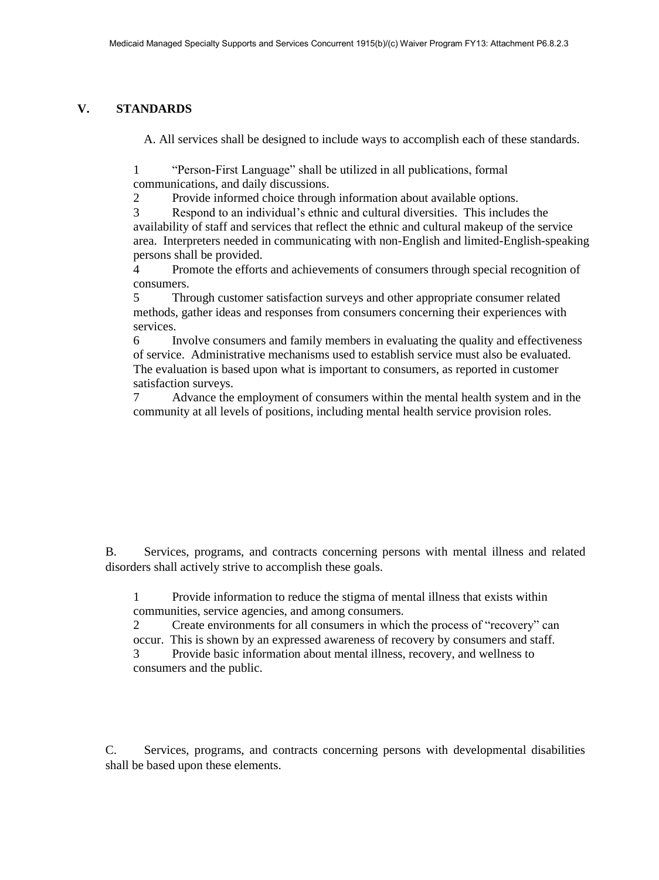## **V. STANDARDS**

A. All services shall be designed to include ways to accomplish each of these standards.

1 "Person-First Language" shall be utilized in all publications, formal communications, and daily discussions.

2 Provide informed choice through information about available options.

3 Respond to an individual's ethnic and cultural diversities. This includes the availability of staff and services that reflect the ethnic and cultural makeup of the service area. Interpreters needed in communicating with non-English and limited-English-speaking persons shall be provided.

4 Promote the efforts and achievements of consumers through special recognition of consumers.

5 Through customer satisfaction surveys and other appropriate consumer related methods, gather ideas and responses from consumers concerning their experiences with services.

6 Involve consumers and family members in evaluating the quality and effectiveness of service. Administrative mechanisms used to establish service must also be evaluated. The evaluation is based upon what is important to consumers, as reported in customer satisfaction surveys.

7 Advance the employment of consumers within the mental health system and in the community at all levels of positions, including mental health service provision roles.

B. Services, programs, and contracts concerning persons with mental illness and related disorders shall actively strive to accomplish these goals.

1 Provide information to reduce the stigma of mental illness that exists within communities, service agencies, and among consumers.

2 Create environments for all consumers in which the process of "recovery" can occur. This is shown by an expressed awareness of recovery by consumers and staff.

3 Provide basic information about mental illness, recovery, and wellness to consumers and the public.

C. Services, programs, and contracts concerning persons with developmental disabilities shall be based upon these elements.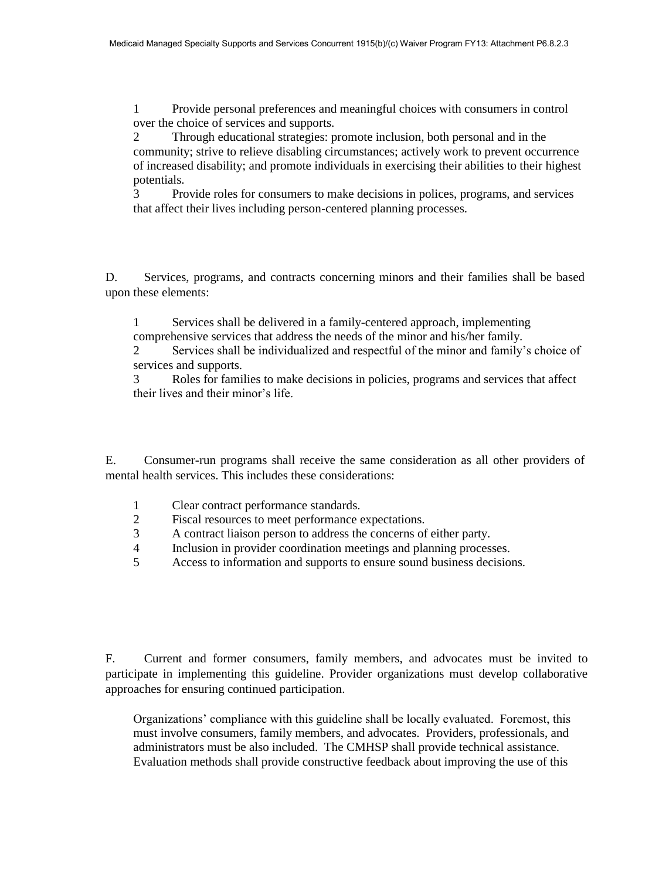1 Provide personal preferences and meaningful choices with consumers in control over the choice of services and supports.

2 Through educational strategies: promote inclusion, both personal and in the community; strive to relieve disabling circumstances; actively work to prevent occurrence of increased disability; and promote individuals in exercising their abilities to their highest potentials.

3 Provide roles for consumers to make decisions in polices, programs, and services that affect their lives including person-centered planning processes.

D. Services, programs, and contracts concerning minors and their families shall be based upon these elements:

1 Services shall be delivered in a family-centered approach, implementing comprehensive services that address the needs of the minor and his/her family.

2 Services shall be individualized and respectful of the minor and family's choice of services and supports.

3 Roles for families to make decisions in policies, programs and services that affect their lives and their minor's life.

E. Consumer-run programs shall receive the same consideration as all other providers of mental health services. This includes these considerations:

- 1 Clear contract performance standards.
- 2 Fiscal resources to meet performance expectations.
- 3 A contract liaison person to address the concerns of either party.
- 4 Inclusion in provider coordination meetings and planning processes.
- 5 Access to information and supports to ensure sound business decisions.

F. Current and former consumers, family members, and advocates must be invited to participate in implementing this guideline. Provider organizations must develop collaborative approaches for ensuring continued participation.

Organizations' compliance with this guideline shall be locally evaluated. Foremost, this must involve consumers, family members, and advocates. Providers, professionals, and administrators must be also included. The CMHSP shall provide technical assistance. Evaluation methods shall provide constructive feedback about improving the use of this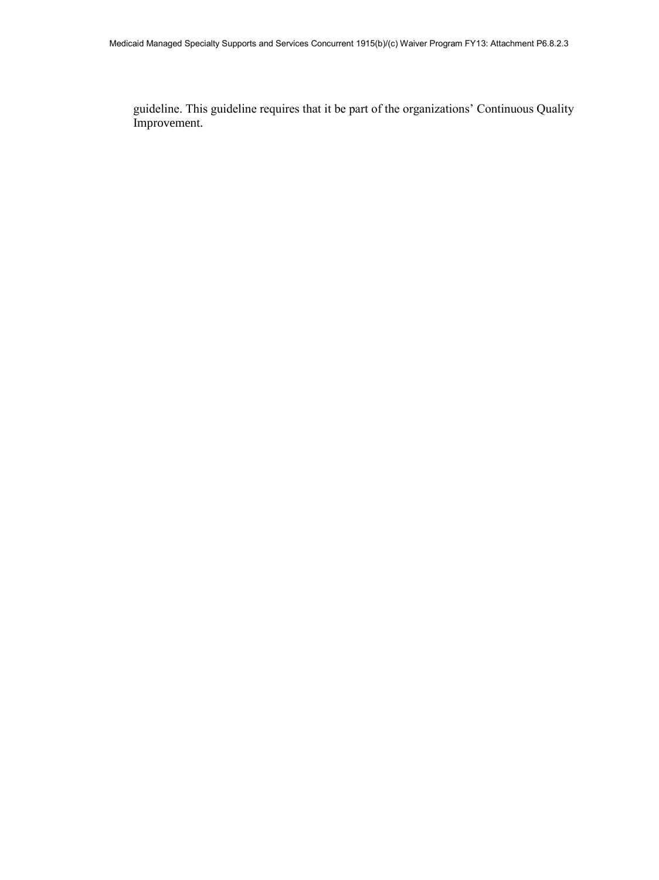guideline. This guideline requires that it be part of the organizations' Continuous Quality Improvement.